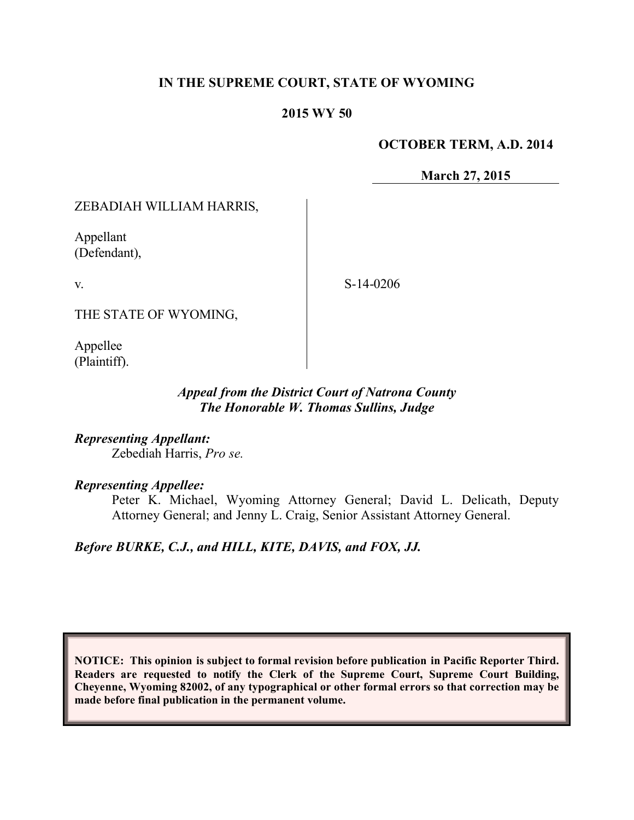### **IN THE SUPREME COURT, STATE OF WYOMING**

### **2015 WY 50**

#### **OCTOBER TERM, A.D. 2014**

**March 27, 2015**

### ZEBADIAH WILLIAM HARRIS,

Appellant (Defendant),

v.

S-14-0206

THE STATE OF WYOMING,

Appellee (Plaintiff).

### *Appeal from the District Court of Natrona County The Honorable W. Thomas Sullins, Judge*

*Representing Appellant:* Zebediah Harris, *Pro se.*

### *Representing Appellee:*

Peter K. Michael, Wyoming Attorney General; David L. Delicath, Deputy Attorney General; and Jenny L. Craig, Senior Assistant Attorney General.

# *Before BURKE, C.J., and HILL, KITE, DAVIS, and FOX, JJ.*

**NOTICE: This opinion is subject to formal revision before publication in Pacific Reporter Third. Readers are requested to notify the Clerk of the Supreme Court, Supreme Court Building, Cheyenne, Wyoming 82002, of any typographical or other formal errors so that correction may be made before final publication in the permanent volume.**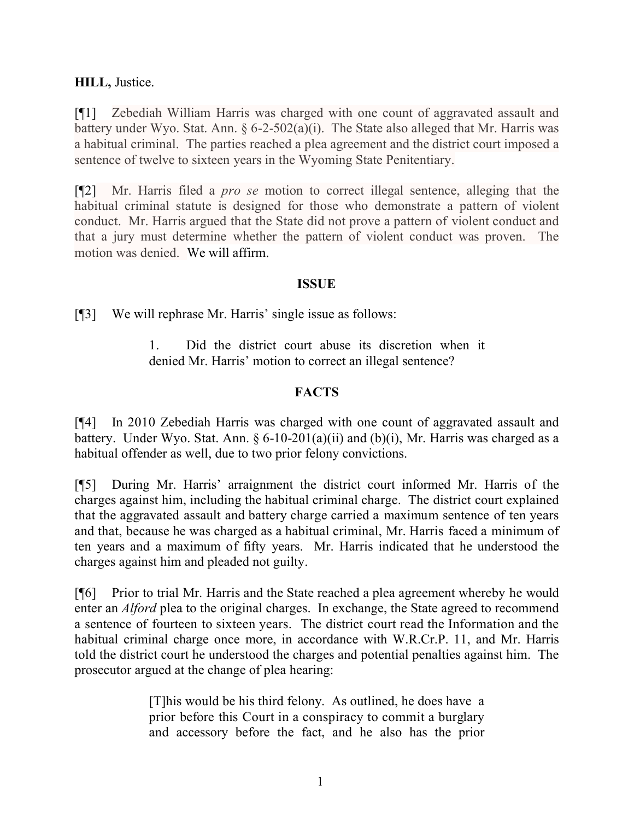## **HILL,** Justice.

[¶1] Zebediah William Harris was charged with one count of aggravated assault and battery under Wyo. Stat. Ann. § 6-2-502(a)(i). The State also alleged that Mr. Harris was a habitual criminal. The parties reached a plea agreement and the district court imposed a sentence of twelve to sixteen years in the Wyoming State Penitentiary.

[¶2] Mr. Harris filed a *pro se* motion to correct illegal sentence, alleging that the habitual criminal statute is designed for those who demonstrate a pattern of violent conduct. Mr. Harris argued that the State did not prove a pattern of violent conduct and that a jury must determine whether the pattern of violent conduct was proven. The motion was denied. We will affirm.

## **ISSUE**

[¶3] We will rephrase Mr. Harris' single issue as follows:

1. Did the district court abuse its discretion when it denied Mr. Harris' motion to correct an illegal sentence?

## **FACTS**

[¶4] In 2010 Zebediah Harris was charged with one count of aggravated assault and battery. Under Wyo. Stat. Ann. §  $6-10-201(a)(ii)$  and  $(b)(i)$ , Mr. Harris was charged as a habitual offender as well, due to two prior felony convictions.

[¶5] During Mr. Harris' arraignment the district court informed Mr. Harris of the charges against him, including the habitual criminal charge. The district court explained that the aggravated assault and battery charge carried a maximum sentence of ten years and that, because he was charged as a habitual criminal, Mr. Harris faced a minimum of ten years and a maximum of fifty years. Mr. Harris indicated that he understood the charges against him and pleaded not guilty.

[¶6] Prior to trial Mr. Harris and the State reached a plea agreement whereby he would enter an *Alford* plea to the original charges. In exchange, the State agreed to recommend a sentence of fourteen to sixteen years. The district court read the Information and the habitual criminal charge once more, in accordance with W.R.Cr.P. 11, and Mr. Harris told the district court he understood the charges and potential penalties against him. The prosecutor argued at the change of plea hearing:

> [T]his would be his third felony. As outlined, he does have a prior before this Court in a conspiracy to commit a burglary and accessory before the fact, and he also has the prior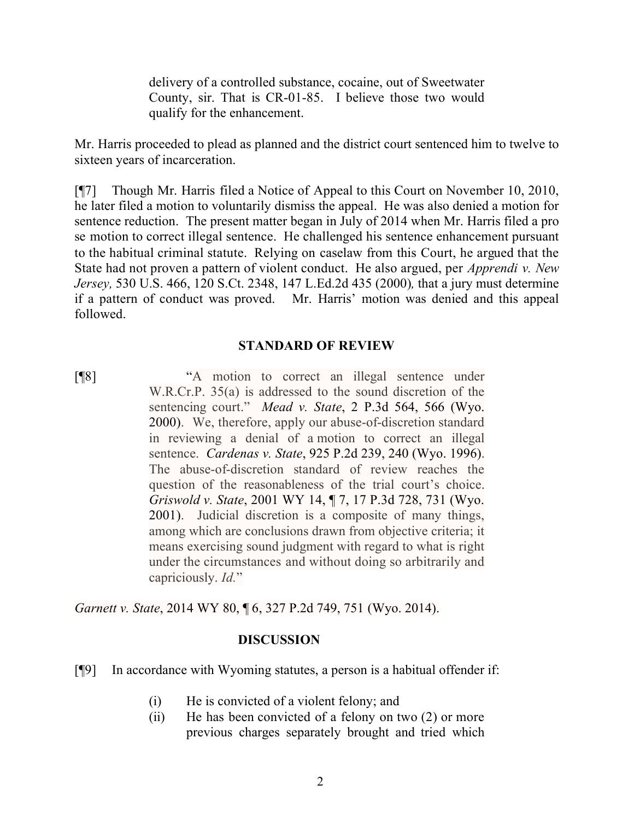delivery of a controlled substance, cocaine, out of Sweetwater County, sir. That is CR-01-85. I believe those two would qualify for the enhancement.

Mr. Harris proceeded to plead as planned and the district court sentenced him to twelve to sixteen years of incarceration.

[¶7] Though Mr. Harris filed a Notice of Appeal to this Court on November 10, 2010, he later filed a motion to voluntarily dismiss the appeal. He was also denied a motion for sentence reduction. The present matter began in July of 2014 when Mr. Harris filed a pro se motion to correct illegal sentence. He challenged his sentence enhancement pursuant to the habitual criminal statute. Relying on caselaw from this Court, he argued that the State had not proven a pattern of violent conduct. He also argued, per *Apprendi v. New Jersey,* 530 U.S. 466, 120 S.Ct. 2348, 147 L.Ed.2d 435 (2000)*,* that a jury must determine if a pattern of conduct was proved. Mr. Harris' motion was denied and this appeal followed.

### **STANDARD OF REVIEW**

[¶8] "A motion to correct an illegal sentence under W.R.Cr.P. 35(a) is addressed to the sound discretion of the sentencing court." *Mead v. State*, 2 P.3d 564, 566 (Wyo. 2000). We, therefore, apply our abuse-of-discretion standard in reviewing a denial of a motion to correct an illegal sentence. *Cardenas v. State*, 925 P.2d 239, 240 (Wyo. 1996). The abuse-of-discretion standard of review reaches the question of the reasonableness of the trial court's choice. *Griswold v. State*, 2001 WY 14, ¶ 7, 17 P.3d 728, 731 (Wyo. 2001). Judicial discretion is a composite of many things, among which are conclusions drawn from objective criteria; it means exercising sound judgment with regard to what is right under the circumstances and without doing so arbitrarily and capriciously. *Id.*"

*Garnett v. State*, 2014 WY 80, ¶ 6, 327 P.2d 749, 751 (Wyo. 2014).

## **DISCUSSION**

[¶9] In accordance with Wyoming statutes, a person is a habitual offender if:

- (i) He is convicted of a violent felony; and
- (ii) He has been convicted of a felony on two (2) or more previous charges separately brought and tried which